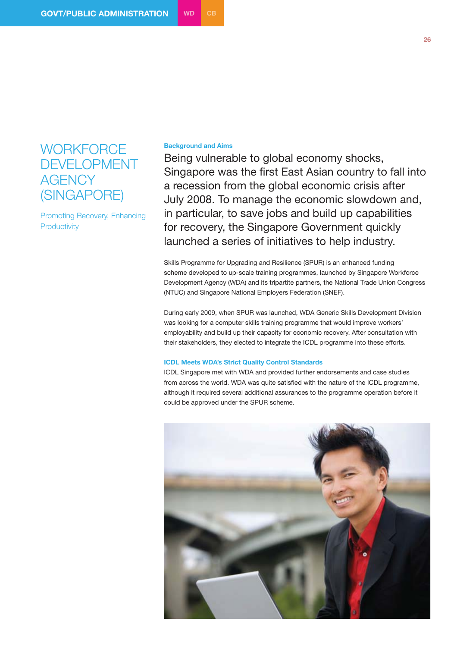## **WORKFORCE** DEVELOPMENT **AGENCY** (SINGAPORE)

Promoting Recovery, Enhancing **Productivity** 

## **Background and Aims**

Being vulnerable to global economy shocks, Singapore was the first East Asian country to fall into a recession from the global economic crisis after July 2008. To manage the economic slowdown and, in particular, to save jobs and build up capabilities for recovery, the Singapore Government quickly launched a series of initiatives to help industry.

Skills Programme for Upgrading and Resilience (SPUR) is an enhanced funding scheme developed to up-scale training programmes, launched by Singapore Workforce Development Agency (WDA) and its tripartite partners, the National Trade Union Congress (NTUC) and Singapore National Employers Federation (SNEF).

During early 2009, when SPUR was launched, WDA Generic Skills Development Division was looking for a computer skills training programme that would improve workers' employability and build up their capacity for economic recovery. After consultation with their stakeholders, they elected to integrate the ICDL programme into these efforts.

## **ICDL Meets WDA's Strict Quality Control Standards**

ICDL Singapore met with WDA and provided further endorsements and case studies from across the world. WDA was quite satisfied with the nature of the ICDL programme, although it required several additional assurances to the programme operation before it could be approved under the SPUR scheme.

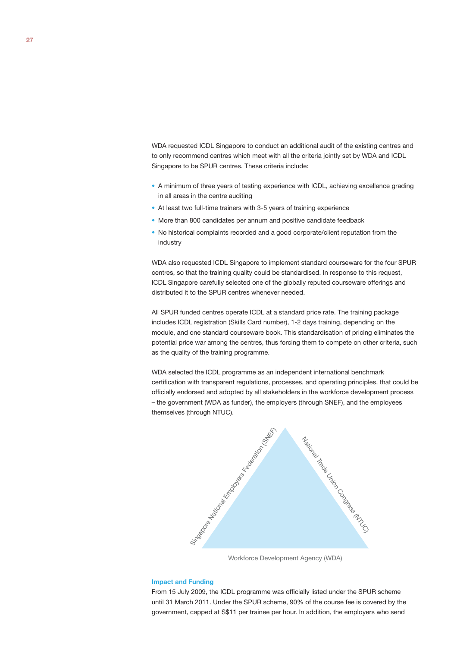WDA requested ICDL Singapore to conduct an additional audit of the existing centres and to only recommend centres which meet with all the criteria jointly set by WDA and ICDL Singapore to be SPUR centres. These criteria include:

- A minimum of three years of testing experience with ICDL, achieving excellence grading in all areas in the centre auditing
- At least two full-time trainers with 3-5 years of training experience
- More than 800 candidates per annum and positive candidate feedback
- No historical complaints recorded and a good corporate/client reputation from the industry

WDA also requested ICDL Singapore to implement standard courseware for the four SPUR centres, so that the training quality could be standardised. In response to this request, ICDL Singapore carefully selected one of the globally reputed courseware offerings and distributed it to the SPUR centres whenever needed.

All SPUR funded centres operate ICDL at a standard price rate. The training package includes ICDL registration (Skills Card number), 1-2 days training, depending on the module, and one standard courseware book. This standardisation of pricing eliminates the potential price war among the centres, thus forcing them to compete on other criteria, such as the quality of the training programme.

WDA selected the ICDL programme as an independent international benchmark certification with transparent regulations, processes, and operating principles, that could be officially endorsed and adopted by all stakeholders in the workforce development process – the government (WDA as funder), the employers (through SNEF), and the employees themselves (through NTUC).



Workforce Development Agency (WDA)

## **Impact and Funding**

From 15 July 2009, the ICDL programme was officially listed under the SPUR scheme until 31 March 2011. Under the SPUR scheme, 90% of the course fee is covered by the government, capped at S\$11 per trainee per hour. In addition, the employers who send